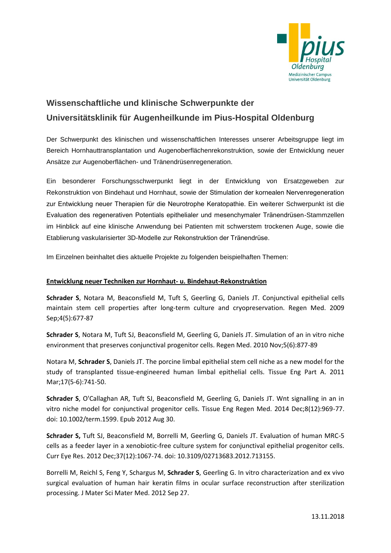

# **Wissenschaftliche und klinische Schwerpunkte der Universitätsklinik für Augenheilkunde im Pius-Hospital Oldenburg**

Der Schwerpunkt des klinischen und wissenschaftlichen Interesses unserer Arbeitsgruppe liegt im Bereich Hornhauttransplantation und Augenoberflächenrekonstruktion, sowie der Entwicklung neuer Ansätze zur Augenoberflächen- und Tränendrüsenregeneration.

Ein besonderer Forschungsschwerpunkt liegt in der Entwicklung von Ersatzgeweben zur Rekonstruktion von Bindehaut und Hornhaut, sowie der Stimulation der kornealen Nervenregeneration zur Entwicklung neuer Therapien für die Neurotrophe Keratopathie. Ein weiterer Schwerpunkt ist die Evaluation des regenerativen Potentials epithelialer und mesenchymaler Tränendrüsen-Stammzellen im Hinblick auf eine klinische Anwendung bei Patienten mit schwerstem trockenen Auge, sowie die Etablierung vaskularisierter 3D-Modelle zur Rekonstruktion der Tränendrüse.

Im Einzelnen beinhaltet dies aktuelle Projekte zu folgenden beispielhaften Themen:

## **Entwicklung neuer Techniken zur Hornhaut- u. Bindehaut-Rekonstruktion**

**Schrader S**, Notara M, Beaconsfield M, Tuft S, Geerling G, Daniels JT. Conjunctival epithelial cells maintain stem cell properties after long-term culture and cryopreservation. Regen Med. 2009 Sep;4(5):677-87

**Schrader S**, Notara M, Tuft SJ, Beaconsfield M, Geerling G, Daniels JT. Simulation of an in vitro niche environment that preserves conjunctival progenitor cells. Regen Med. 2010 Nov;5(6):877-89

Notara M, **Schrader S**, Daniels JT. The porcine limbal epithelial stem cell niche as a new model for the study of transplanted tissue-engineered human limbal epithelial cells. Tissue Eng Part A. 2011 Mar;17(5-6):741-50.

**Schrader S**, O'Callaghan AR, Tuft SJ, Beaconsfield M, Geerling G, Daniels JT. Wnt signalling in an in vitro niche model for conjunctival progenitor cells. Tissue Eng Regen Med. 2014 Dec;8(12):969-77. doi: 10.1002/term.1599. Epub 2012 Aug 30.

**Schrader S,** Tuft SJ, Beaconsfield M, Borrelli M, Geerling G, Daniels JT. Evaluation of human MRC-5 cells as a feeder layer in a xenobiotic-free culture system for conjunctival epithelial progenitor cells. Curr Eye Res. 2012 Dec;37(12):1067-74. doi: 10.3109/02713683.2012.713155.

Borrelli M, Reichl S, Feng Y, Schargus M, **Schrader S**, Geerling G. In vitro characterization and ex vivo surgical evaluation of human hair keratin films in ocular surface reconstruction after sterilization processing. J Mater Sci Mater Med. 2012 Sep 27.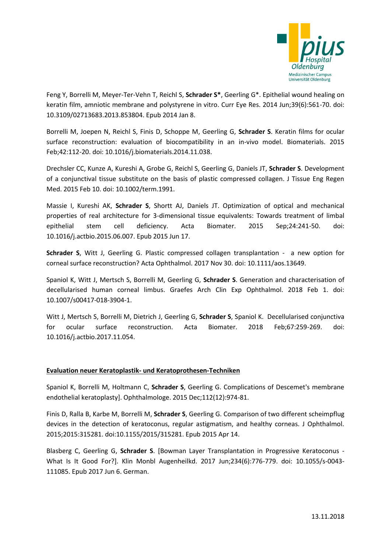

Feng Y, Borrelli M, Meyer-Ter-Vehn T, Reichl S, **Schrader S\***, Geerling G\*. Epithelial wound healing on keratin film, amniotic membrane and polystyrene in vitro. Curr Eye Res. 2014 Jun;39(6):561-70. doi: 10.3109/02713683.2013.853804. Epub 2014 Jan 8.

Borrelli M, Joepen N, Reichl S, Finis D, Schoppe M, Geerling G, **Schrader S**. Keratin films for ocular surface reconstruction: evaluation of biocompatibility in an in-vivo model. Biomaterials. 2015 Feb;42:112-20. doi: 10.1016/j.biomaterials.2014.11.038.

Drechsler CC, Kunze A, Kureshi A, Grobe G, Reichl S, Geerling G, Daniels JT, **Schrader S**. Development of a conjunctival tissue substitute on the basis of plastic compressed collagen. J Tissue Eng Regen Med. 2015 Feb 10. doi: 10.1002/term.1991.

Massie I, Kureshi AK, **Schrader S**, Shortt AJ, Daniels JT. Optimization of optical and mechanical properties of real architecture for 3-dimensional tissue equivalents: Towards treatment of limbal epithelial stem cell deficiency. Acta Biomater. 2015 Sep;24:241-50. doi: 10.1016/j.actbio.2015.06.007. Epub 2015 Jun 17.

**Schrader S**, Witt J, Geerling G. Plastic compressed collagen transplantation - a new option for corneal surface reconstruction? Acta Ophthalmol. 2017 Nov 30. doi: 10.1111/aos.13649.

Spaniol K, Witt J, Mertsch S, Borrelli M, Geerling G, **Schrader S**. Generation and characterisation of decellularised human corneal limbus. Graefes Arch Clin Exp Ophthalmol. 2018 Feb 1. doi: 10.1007/s00417-018-3904-1.

Witt J, Mertsch S, Borrelli M, Dietrich J, Geerling G, **Schrader S**, Spaniol K. Decellularised conjunctiva for ocular surface reconstruction. Acta Biomater. 2018 Feb;67:259-269. doi: 10.1016/j.actbio.2017.11.054.

## **Evaluation neuer Keratoplastik- und Keratoprothesen-Techniken**

Spaniol K, Borrelli M, Holtmann C, **Schrader S**, Geerling G. Complications of Descemet's membrane endothelial keratoplasty]. Ophthalmologe. 2015 Dec;112(12):974-81.

Finis D, Ralla B, Karbe M, Borrelli M, **Schrader S**, Geerling G. Comparison of two different scheimpflug devices in the detection of keratoconus, regular astigmatism, and healthy corneas. J Ophthalmol. 2015;2015:315281. doi:10.1155/2015/315281. Epub 2015 Apr 14.

Blasberg C, Geerling G, **Schrader S**. [Bowman Layer Transplantation in Progressive Keratoconus - What Is It Good For?]. Klin Monbl Augenheilkd. 2017 Jun;234(6):776-779. doi: 10.1055/s-0043- 111085. Epub 2017 Jun 6. German.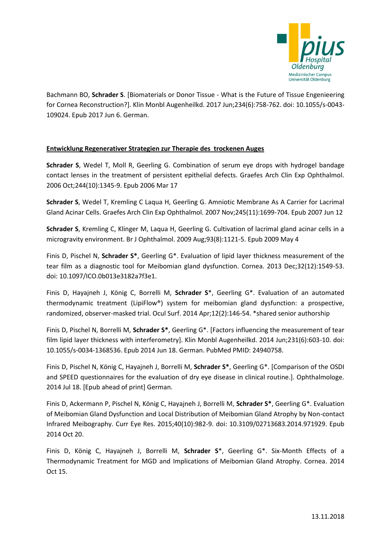

Bachmann BO, **Schrader S**. [Biomaterials or Donor Tissue - What is the Future of Tissue Engenieering for Cornea Reconstruction?]. Klin Monbl Augenheilkd. 2017 Jun;234(6):758-762. doi: 10.1055/s-0043- 109024. Epub 2017 Jun 6. German.

### **Entwicklung Regenerativer Strategien zur Therapie des trockenen Auges**

**Schrader S**, Wedel T, Moll R, Geerling G. Combination of serum eye drops with hydrogel bandage contact lenses in the treatment of persistent epithelial defects. Graefes Arch Clin Exp Ophthalmol. 2006 Oct;244(10):1345-9. Epub 2006 Mar 17

**Schrader S**, Wedel T, Kremling C Laqua H, Geerling G. Amniotic Membrane As A Carrier for Lacrimal Gland Acinar Cells. Graefes Arch Clin Exp Ophthalmol. 2007 Nov;245(11):1699-704. Epub 2007 Jun 12

**Schrader S**, Kremling C, Klinger M, Laqua H, Geerling G. Cultivation of lacrimal gland acinar cells in a microgravity environment. Br J Ophthalmol. 2009 Aug;93(8):1121-5. Epub 2009 May 4

Finis D, Pischel N, **Schrader S\***, Geerling G\*. Evaluation of lipid layer thickness measurement of the tear film as a diagnostic tool for Meibomian gland dysfunction. Cornea. 2013 Dec;32(12):1549-53. doi: 10.1097/ICO.0b013e3182a7f3e1.

Finis D, Hayajneh J, König C, Borrelli M, **Schrader S**\*, Geerling G\*. Evaluation of an automated thermodynamic treatment (LipiFlow®) system for meibomian gland dysfunction: a prospective, randomized, observer-masked trial. Ocul Surf. 2014 Apr;12(2):146-54. \*shared senior authorship

Finis D, Pischel N, Borrelli M, **Schrader S\***, Geerling G\*. [Factors influencing the measurement of tear film lipid layer thickness with interferometry]. Klin Monbl Augenheilkd. 2014 Jun;231(6):603-10. doi: 10.1055/s-0034-1368536. Epub 2014 Jun 18. German. PubMed PMID: 24940758.

Finis D, Pischel N, König C, Hayajneh J, Borrelli M, **Schrader S\***, Geerling G\*. [Comparison of the OSDI and SPEED questionnaires for the evaluation of dry eye disease in clinical routine.]. Ophthalmologe. 2014 Jul 18. [Epub ahead of print] German.

Finis D, Ackermann P, Pischel N, König C, Hayajneh J, Borrelli M, **Schrader S\***, Geerling G\*. Evaluation of Meibomian Gland Dysfunction and Local Distribution of Meibomian Gland Atrophy by Non-contact Infrared Meibography. Curr Eye Res. 2015;40(10):982-9. doi: 10.3109/02713683.2014.971929. Epub 2014 Oct 20.

Finis D, König C, Hayajneh J, Borrelli M, **Schrader S**\*, Geerling G\*. Six-Month Effects of a Thermodynamic Treatment for MGD and Implications of Meibomian Gland Atrophy. Cornea. 2014 Oct 15.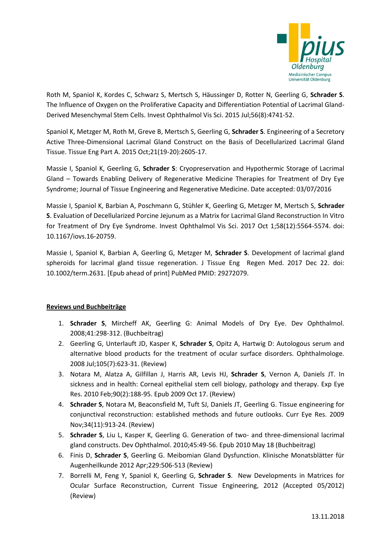

Roth M, Spaniol K, Kordes C, Schwarz S, Mertsch S, Häussinger D, Rotter N, Geerling G, **Schrader S**. The Influence of Oxygen on the Proliferative Capacity and Differentiation Potential of Lacrimal Gland-Derived Mesenchymal Stem Cells. Invest Ophthalmol Vis Sci. 2015 Jul;56(8):4741-52.

Spaniol K, Metzger M, Roth M, Greve B, Mertsch S, Geerling G, **Schrader S**. Engineering of a Secretory Active Three-Dimensional Lacrimal Gland Construct on the Basis of Decellularized Lacrimal Gland Tissue. Tissue Eng Part A. 2015 Oct;21(19-20):2605-17.

Massie I, Spaniol K, Geerling G, **Schrader S**: Cryopreservation and Hypothermic Storage of Lacrimal Gland – Towards Enabling Delivery of Regenerative Medicine Therapies for Treatment of Dry Eye Syndrome; Journal of Tissue Engineering and Regenerative Medicine. Date accepted: 03/07/2016

Massie I, Spaniol K, Barbian A, Poschmann G, Stühler K, Geerling G, Metzger M, Mertsch S, **Schrader S**. Evaluation of Decellularized Porcine Jejunum as a Matrix for Lacrimal Gland Reconstruction In Vitro for Treatment of Dry Eye Syndrome. Invest Ophthalmol Vis Sci. 2017 Oct 1;58(12):5564-5574. doi: 10.1167/iovs.16-20759.

Massie I, Spaniol K, Barbian A, Geerling G, Metzger M, **Schrader S**. Development of lacrimal gland spheroids for lacrimal gland tissue regeneration. J Tissue Eng Regen Med. 2017 Dec 22. doi: 10.1002/term.2631. [Epub ahead of print] PubMed PMID: 29272079.

## **Reviews und Buchbeiträge**

- 1. **Schrader S**, Mircheff AK, Geerling G: Animal Models of Dry Eye. Dev Ophthalmol. 2008;41:298-312. (Buchbeitrag)
- 2. Geerling G, Unterlauft JD, Kasper K, **Schrader S**, Opitz A, Hartwig D: Autologous serum and alternative blood products for the treatment of ocular surface disorders. Ophthalmologe. 2008 Jul;105(7):623-31. (Review)
- 3. Notara M, Alatza A, Gilfillan J, Harris AR, Levis HJ, **Schrader S**, Vernon A, Daniels JT. In sickness and in health: Corneal epithelial stem cell biology, pathology and therapy. Exp Eye Res. 2010 Feb;90(2):188-95. Epub 2009 Oct 17. (Review)
- 4. **Schrader S**, Notara M, Beaconsfield M, Tuft SJ, Daniels JT, Geerling G. Tissue engineering for conjunctival reconstruction: established methods and future outlooks. Curr Eye Res. 2009 Nov;34(11):913-24. (Review)
- 5. **Schrader S**, Liu L, Kasper K, Geerling G. Generation of two- and three-dimensional lacrimal gland constructs. Dev Ophthalmol. 2010;45:49-56. Epub 2010 May 18 (Buchbeitrag)
- 6. Finis D, **Schrader S**, Geerling G. Meibomian Gland Dysfunction. Klinische Monatsblätter für Augenheilkunde 2012 Apr;229:506-513 (Review)
- 7. Borrelli M, Feng Y, Spaniol K, Geerling G, **Schrader S**. New Developments in Matrices for Ocular Surface Reconstruction, Current Tissue Engineering, 2012 (Accepted 05/2012) (Review)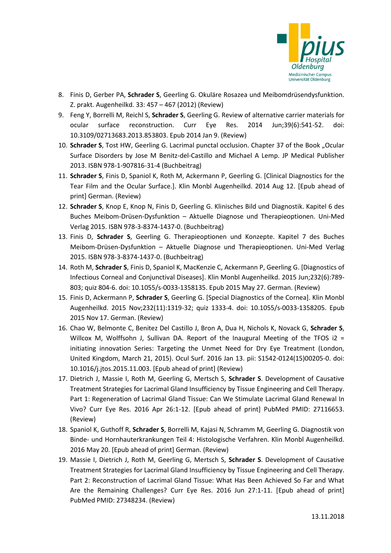

- 8. Finis D, Gerber PA, **Schrader S**, Geerling G. Okuläre Rosazea und Meibomdrüsendysfunktion. Z. prakt. Augenheilkd. 33: 457 – 467 (2012) (Review)
- 9. Feng Y, Borrelli M, Reichl S, **Schrader S**, Geerling G. Review of alternative carrier materials for ocular surface reconstruction. Curr Eye Res. 2014 Jun;39(6):541-52. doi: 10.3109/02713683.2013.853803. Epub 2014 Jan 9. (Review)
- 10. **Schrader S**, Tost HW, Geerling G. Lacrimal punctal occlusion. Chapter 37 of the Book "Ocular Surface Disorders by Jose M Benitz-del-Castillo and Michael A Lemp. JP Medical Publisher 2013. ISBN 978-1-907816-31-4 (Buchbeitrag)
- 11. **Schrader S**, Finis D, Spaniol K, Roth M, Ackermann P, Geerling G. [Clinical Diagnostics for the Tear Film and the Ocular Surface.]. Klin Monbl Augenheilkd. 2014 Aug 12. [Epub ahead of print] German. (Review)
- 12. **Schrader S**, Knop E, Knop N, Finis D, Geerling G. Klinisches Bild und Diagnostik. Kapitel 6 des Buches Meibom-Drüsen-Dysfunktion – Aktuelle Diagnose und Therapieoptionen. Uni-Med Verlag 2015. ISBN 978-3-8374-1437-0. (Buchbeitrag)
- 13. Finis D, **Schrader S**, Geerling G. Therapieoptionen und Konzepte. Kapitel 7 des Buches Meibom-Drüsen-Dysfunktion – Aktuelle Diagnose und Therapieoptionen. Uni-Med Verlag 2015. ISBN 978-3-8374-1437-0. (Buchbeitrag)
- 14. Roth M, **Schrader S**, Finis D, Spaniol K, MacKenzie C, Ackermann P, Geerling G. [Diagnostics of Infectious Corneal and Conjunctival Diseases]. Klin Monbl Augenheilkd. 2015 Jun;232(6):789- 803; quiz 804-6. doi: 10.1055/s-0033-1358135. Epub 2015 May 27. German. (Review)
- 15. Finis D, Ackermann P, **Schrader S**, Geerling G. [Special Diagnostics of the Cornea]. Klin Monbl Augenheilkd. 2015 Nov;232(11):1319-32; quiz 1333-4. doi: 10.1055/s-0033-1358205. Epub 2015 Nov 17. German. (Review)
- 16. Chao W, Belmonte C, Benitez Del Castillo J, Bron A, Dua H, Nichols K, Novack G, **Schrader S**, Willcox M, Wolffsohn J, Sullivan DA. Report of the Inaugural Meeting of the TFOS i2 = initiating innovation Series: Targeting the Unmet Need for Dry Eye Treatment (London, United Kingdom, March 21, 2015). Ocul Surf. 2016 Jan 13. pii: S1542-0124(15)00205-0. doi: 10.1016/j.jtos.2015.11.003. [Epub ahead of print] (Review)
- 17. Dietrich J, Massie I, Roth M, Geerling G, Mertsch S, **Schrader S**. Development of Causative Treatment Strategies for Lacrimal Gland Insufficiency by Tissue Engineering and Cell Therapy. Part 1: Regeneration of Lacrimal Gland Tissue: Can We Stimulate Lacrimal Gland Renewal In Vivo? Curr Eye Res. 2016 Apr 26:1-12. [Epub ahead of print] PubMed PMID: 27116653. (Review)
- 18. Spaniol K, Guthoff R, **Schrader S**, Borrelli M, Kajasi N, Schramm M, Geerling G. Diagnostik von Binde- und Hornhauterkrankungen Teil 4: Histologische Verfahren. Klin Monbl Augenheilkd. 2016 May 20. [Epub ahead of print] German. (Review)
- 19. Massie I, Dietrich J, Roth M, Geerling G, Mertsch S, **Schrader S**. Development of Causative Treatment Strategies for Lacrimal Gland Insufficiency by Tissue Engineering and Cell Therapy. Part 2: Reconstruction of Lacrimal Gland Tissue: What Has Been Achieved So Far and What Are the Remaining Challenges? Curr Eye Res. 2016 Jun 27:1-11. [Epub ahead of print] PubMed PMID: 27348234. (Review)